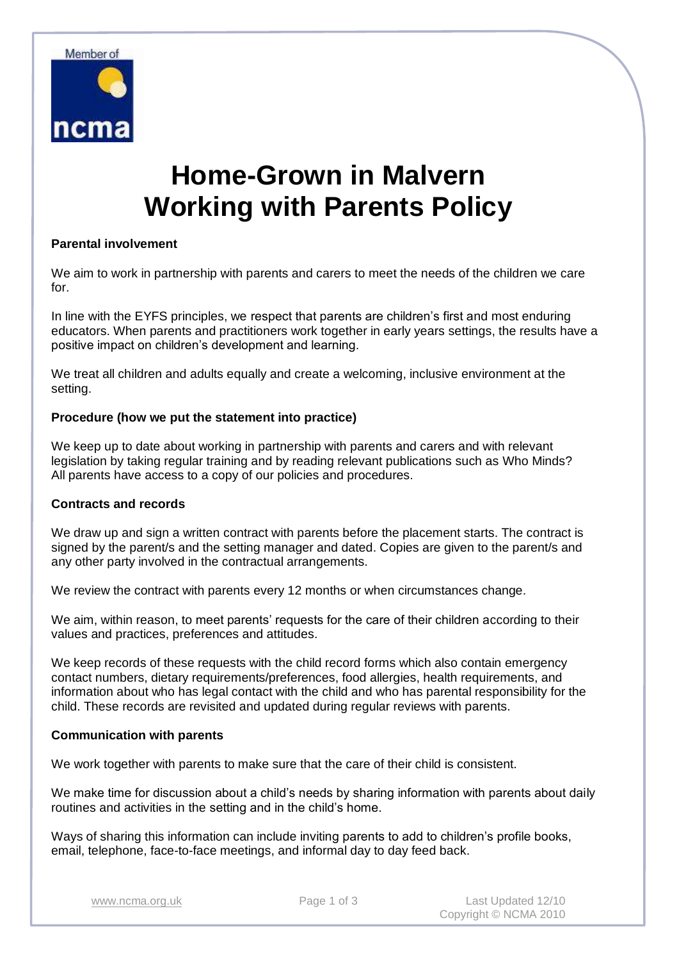

# **Home-Grown in Malvern Working with Parents Policy**

# **Parental involvement**

We aim to work in partnership with parents and carers to meet the needs of the children we care for.

In line with the EYFS principles, we respect that parents are children's first and most enduring educators. When parents and practitioners work together in early years settings, the results have a positive impact on children's development and learning.

We treat all children and adults equally and create a welcoming, inclusive environment at the setting.

# **Procedure (how we put the statement into practice)**

We keep up to date about working in partnership with parents and carers and with relevant legislation by taking regular training and by reading relevant publications such as Who Minds? All parents have access to a copy of our policies and procedures.

## **Contracts and records**

We draw up and sign a written contract with parents before the placement starts. The contract is signed by the parent/s and the setting manager and dated. Copies are given to the parent/s and any other party involved in the contractual arrangements.

We review the contract with parents every 12 months or when circumstances change.

We aim, within reason, to meet parents' requests for the care of their children according to their values and practices, preferences and attitudes.

We keep records of these requests with the child record forms which also contain emergency contact numbers, dietary requirements/preferences, food allergies, health requirements, and information about who has legal contact with the child and who has parental responsibility for the child. These records are revisited and updated during regular reviews with parents.

## **Communication with parents**

We work together with parents to make sure that the care of their child is consistent.

We make time for discussion about a child's needs by sharing information with parents about daily routines and activities in the setting and in the child's home.

Ways of sharing this information can include inviting parents to add to children's profile books, email, telephone, face-to-face meetings, and informal day to day feed back.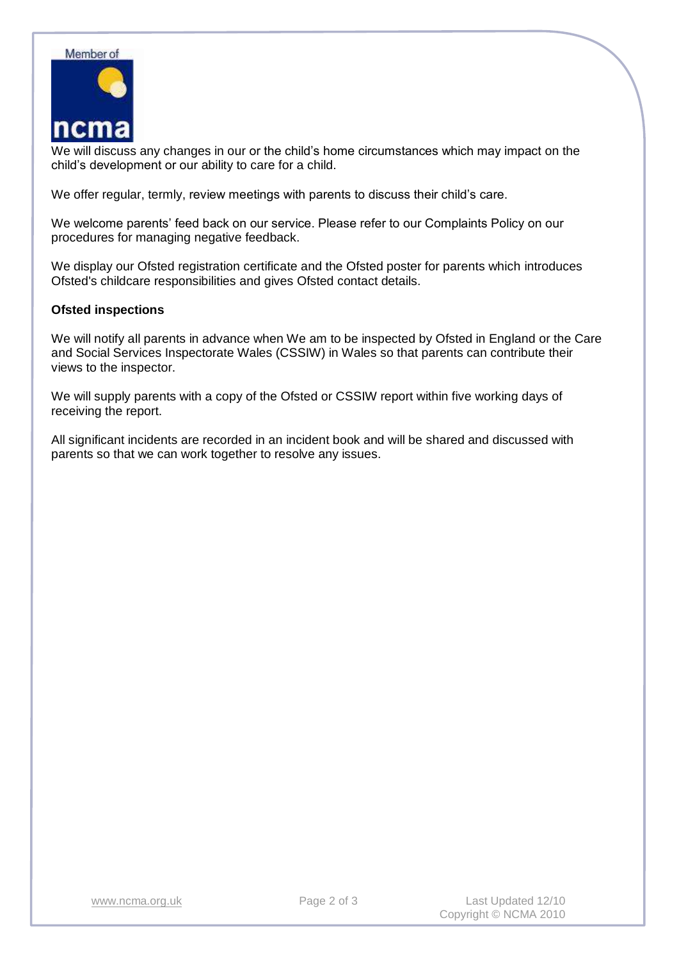

We will discuss any changes in our or the child's home circumstances which may impact on the child's development or our ability to care for a child.

We offer regular, termly, review meetings with parents to discuss their child's care.

We welcome parents' feed back on our service. Please refer to our Complaints Policy on our procedures for managing negative feedback.

We display our Ofsted registration certificate and the Ofsted poster for parents which introduces Ofsted's childcare responsibilities and gives Ofsted contact details.

## **Ofsted inspections**

We will notify all parents in advance when We am to be inspected by Ofsted in England or the Care and Social Services Inspectorate Wales (CSSIW) in Wales so that parents can contribute their views to the inspector.

We will supply parents with a copy of the Ofsted or CSSIW report within five working days of receiving the report.

All significant incidents are recorded in an incident book and will be shared and discussed with parents so that we can work together to resolve any issues.